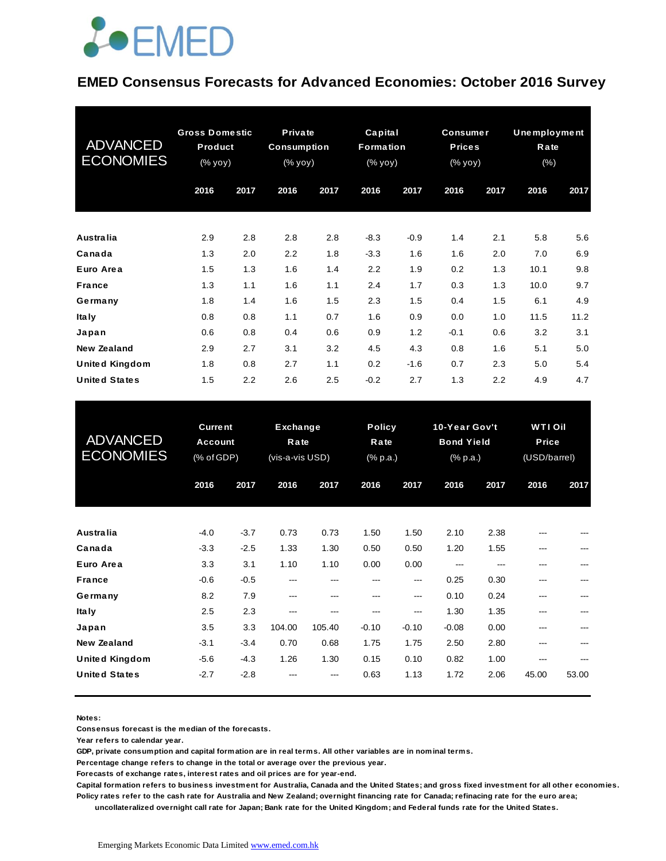

#### **EMED Consensus Forecasts for Advanced Economies: October 2016 Survey**

| <b>ADVANCED</b><br><b>ECONOMIES</b> | <b>Gross Domestic</b><br><b>Product</b><br>(% yoy) |      | Private<br><b>Consumption</b><br>$(\%$ yoy) |      | Capital<br><b>Formation</b><br>(% yoy) |        | <b>Consumer</b><br><b>Prices</b><br>(% yoy) |      | Unemployment<br>Rate<br>$(\% )$ |      |
|-------------------------------------|----------------------------------------------------|------|---------------------------------------------|------|----------------------------------------|--------|---------------------------------------------|------|---------------------------------|------|
|                                     | 2016                                               | 2017 | 2016                                        | 2017 | 2016                                   | 2017   | 2016                                        | 2017 | 2016                            | 2017 |
| <b>Australia</b>                    | 2.9                                                | 2.8  | 2.8                                         | 2.8  | $-8.3$                                 | $-0.9$ | 1.4                                         | 2.1  | 5.8                             | 5.6  |
| Canada                              | 1.3                                                | 2.0  | 2.2                                         | 1.8  | $-3.3$                                 | 1.6    | 1.6                                         | 2.0  | 7.0                             | 6.9  |
| Euro Area                           | 1.5                                                | 1.3  | 1.6                                         | 1.4  | 2.2                                    | 1.9    | 0.2                                         | 1.3  | 10.1                            | 9.8  |
| <b>France</b>                       | 1.3                                                | 1.1  | 1.6                                         | 1.1  | 2.4                                    | 1.7    | 0.3                                         | 1.3  | 10.0                            | 9.7  |
| Germany                             | 1.8                                                | 1.4  | 1.6                                         | 1.5  | 2.3                                    | 1.5    | 0.4                                         | 1.5  | 6.1                             | 4.9  |
| <b>Italy</b>                        | 0.8                                                | 0.8  | 1.1                                         | 0.7  | 1.6                                    | 0.9    | 0.0                                         | 1.0  | 11.5                            | 11.2 |
| Japan                               | 0.6                                                | 0.8  | 0.4                                         | 0.6  | 0.9                                    | 1.2    | $-0.1$                                      | 0.6  | 3.2                             | 3.1  |
| New Zealand                         | 2.9                                                | 2.7  | 3.1                                         | 3.2  | 4.5                                    | 4.3    | 0.8                                         | 1.6  | 5.1                             | 5.0  |
| <b>United Kingdom</b>               | 1.8                                                | 0.8  | 2.7                                         | 1.1  | 0.2                                    | $-1.6$ | 0.7                                         | 2.3  | 5.0                             | 5.4  |
| <b>United States</b>                | 1.5                                                | 2.2  | 2.6                                         | 2.5  | $-0.2$                                 | 2.7    | 1.3                                         | 2.2  | 4.9                             | 4.7  |

| <b>United States</b>                          | 1.5                                            | 2.2              | 2.6                                        | 2.5            | $-0.2$                            | 2.7             | 1.3                                            | 2.2          | 4.9                                     | 4.7   |
|-----------------------------------------------|------------------------------------------------|------------------|--------------------------------------------|----------------|-----------------------------------|-----------------|------------------------------------------------|--------------|-----------------------------------------|-------|
| <b>ADVANCED</b><br><b>ECONOMIES</b>           | <b>Current</b><br><b>Account</b><br>(% of GDP) |                  | <b>Exchange</b><br>Rate<br>(vis-a-vis USD) |                | <b>Policy</b><br>Rate<br>(% p.a.) |                 | 10-Year Gov't<br><b>Bond Yield</b><br>(% p.a.) |              | <b>WTI Oil</b><br>Price<br>(USD/barrel) |       |
|                                               | 2016                                           | 2017             | 2016                                       | 2017           | 2016                              | 2017            | 2016                                           | 2017         | 2016                                    | 2017  |
| Australia                                     | $-4.0$                                         | $-3.7$           | 0.73                                       | 0.73           | 1.50                              | 1.50            | 2.10                                           | 2.38         |                                         |       |
| Canada<br>Euro Area                           | $-3.3$<br>3.3                                  | $-2.5$<br>3.1    | 1.33<br>1.10                               | 1.30<br>1.10   | 0.50<br>0.00                      | 0.50<br>0.00    | 1.20<br>$---$                                  | 1.55<br>---  | ---<br>---                              |       |
| <b>France</b>                                 | $-0.6$                                         | $-0.5$           | ---                                        | ---            | ---                               | $---$           | 0.25                                           | 0.30         | ---                                     |       |
| Germany<br>Ita Iy                             | 8.2<br>2.5                                     | 7.9<br>2.3       | ---<br>---                                 | ---<br>---     | ---<br>---                        | $---$<br>---    | 0.10<br>1.30                                   | 0.24<br>1.35 | ---<br>---                              | ---   |
| Japan<br><b>New Zealand</b>                   | 3.5<br>$-3.1$                                  | 3.3<br>$-3.4$    | 104.00<br>0.70                             | 105.40<br>0.68 | $-0.10$<br>1.75                   | $-0.10$<br>1.75 | $-0.08$<br>2.50                                | 0.00<br>2.80 | ---<br>---                              |       |
| <b>United Kingdom</b><br><b>United States</b> | $-5.6$<br>$-2.7$                               | $-4.3$<br>$-2.8$ | 1.26                                       | 1.30           | 0.15<br>0.63                      | 0.10<br>1.13    | 0.82<br>1.72                                   | 1.00<br>2.06 | ---<br>45.00                            | 53.00 |
|                                               |                                                |                  |                                            |                |                                   |                 |                                                |              |                                         |       |

**Notes:** 

**Consensus forecast is the median of the forecasts.**

**Year refers to calendar year.**

**GDP, private consumption and capital formation are in real terms. All other variables are in nominal terms.**

**Percentage change refers to change in the total or average over the previous year.**

**Forecasts of exchange rates, interest rates and oil prices are for year-end.**

**Capital formation refers to business investment for Australia, Canada and the United States; and gross fixed investment for all other economies. Policy rates refer to the cash rate for Australia and New Zealand; overnight financing rate for Canada; refinacing rate for the euro area;**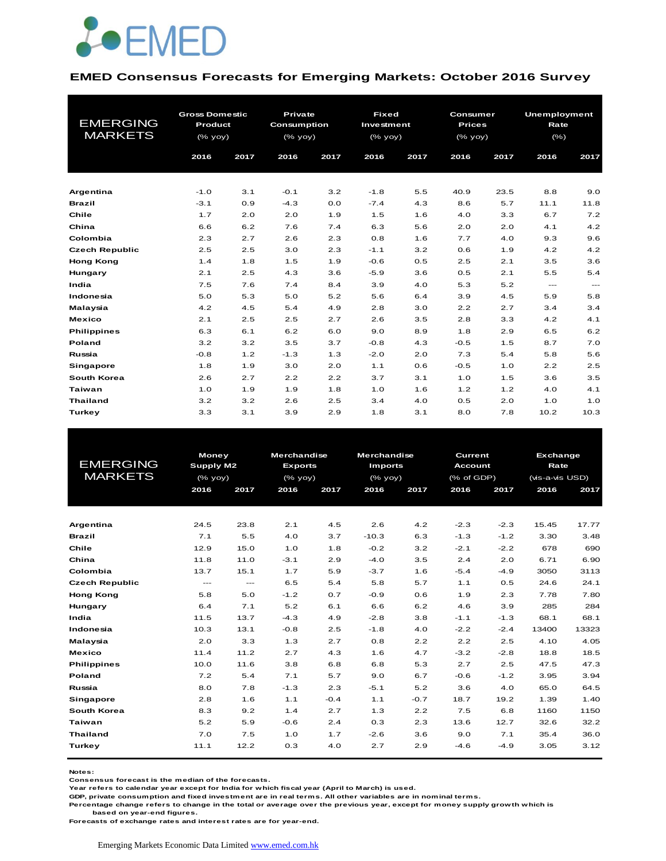

#### **EMED Consensus Forecasts for Emerging Markets: October 2016 Survey**

|                       | <b>Gross Domestic</b> |      | <b>Private</b>     |      | <b>Fixed</b> |      | Consumer      |      | <b>Unemployment</b> |       |  |
|-----------------------|-----------------------|------|--------------------|------|--------------|------|---------------|------|---------------------|-------|--|
| <b>EMERGING</b>       | Product               |      | <b>Consumption</b> |      | Investment   |      | <b>Prices</b> |      | Rate                |       |  |
| <b>MARKETS</b>        | (% yoy)               |      | $(%$ (% yoy)       |      | (% yoy)      |      | (% yoy)       |      | $(\% )$             |       |  |
|                       | 2016                  | 2017 | 2016               | 2017 | 2016         | 2017 | 2016          | 2017 | 2016                | 2017  |  |
| Argentina             | $-1.0$                | 3.1  | $-0.1$             | 3.2  | $-1.8$       | 5.5  | 40.9          | 23.5 | 8.8                 | 9.0   |  |
| <b>Brazil</b>         | $-3.1$                | 0.9  | $-4.3$             | 0.0  | $-7.4$       | 4.3  | 8.6           | 5.7  | 11.1                | 11.8  |  |
| Chile                 | 1.7                   | 2.0  | 2.0                | 1.9  | 1.5          | 1.6  | 4.0           | 3.3  | 6.7                 | 7.2   |  |
| China                 | 6.6                   | 6.2  | 7.6                | 7.4  | 6.3          | 5.6  | 2.0           | 2.0  | 4.1                 | 4.2   |  |
| Colombia              | 2.3                   | 2.7  | 2.6                | 2.3  | 0.8          | 1.6  | 7.7           | 4.0  | 9.3                 | 9.6   |  |
| <b>Czech Republic</b> | 2.5                   | 2.5  | 3.0                | 2.3  | $-1.1$       | 3.2  | 0.6           | 1.9  | 4.2                 | 4.2   |  |
| <b>Hong Kong</b>      | 1.4                   | 1.8  | 1.5                | 1.9  | $-0.6$       | 0.5  | 2.5           | 2.1  | 3.5                 | 3.6   |  |
| Hungary               | 2.1                   | 2.5  | 4.3                | 3.6  | $-5.9$       | 3.6  | 0.5           | 2.1  | 5.5                 | 5.4   |  |
| India                 | 7.5                   | 7.6  | 7.4                | 8.4  | 3.9          | 4.0  | 5.3           | 5.2  | $---$               | $---$ |  |
| Indonesia             | 5.0                   | 5.3  | 5.0                | 5.2  | 5.6          | 6.4  | 3.9           | 4.5  | 5.9                 | 5.8   |  |
| Malaysia              | 4.2                   | 4.5  | 5.4                | 4.9  | 2.8          | 3.0  | 2.2           | 2.7  | 3.4                 | 3.4   |  |
| <b>Mexico</b>         | 2.1                   | 2.5  | 2.5                | 2.7  | 2.6          | 3.5  | 2.8           | 3.3  | 4.2                 | 4.1   |  |
| <b>Philippines</b>    | 6.3                   | 6.1  | 6.2                | 6.0  | 9.0          | 8.9  | 1.8           | 2.9  | 6.5                 | 6.2   |  |
| Poland                | 3.2                   | 3.2  | 3.5                | 3.7  | $-0.8$       | 4.3  | $-0.5$        | 1.5  | 8.7                 | 7.0   |  |
| Russia                | $-0.8$                | 1.2  | $-1.3$             | 1.3  | $-2.0$       | 2.0  | 7.3           | 5.4  | 5.8                 | 5.6   |  |
| <b>Singapore</b>      | 1.8                   | 1.9  | 3.0                | 2.0  | 1.1          | 0.6  | $-0.5$        | 1.0  | 2.2                 | 2.5   |  |
| South Korea           | 2.6                   | 2.7  | 2.2                | 2.2  | 3.7          | 3.1  | 1.0           | 1.5  | 3.6                 | 3.5   |  |
| Taiwan                | 1.0                   | 1.9  | 1.9                | 1.8  | 1.0          | 1.6  | 1.2           | 1.2  | 4.0                 | 4.1   |  |
| <b>Thailand</b>       | 3.2                   | 3.2  | 2.6                | 2.5  | 3.4          | 4.0  | 0.5           | 2.0  | 1.0                 | 1.0   |  |
| Turkey                | 3.3                   | 3.1  | 3.9                | 2.9  | 1.8          | 3.1  | 8.0           | 7.8  | 10.2                | 10.3  |  |

|                       | <b>Money</b>  |                                              | <b>Merchandise</b> |         | <b>Merchandise</b> |        | <b>Current</b> |        |                                                                                                                                                    |       |
|-----------------------|---------------|----------------------------------------------|--------------------|---------|--------------------|--------|----------------|--------|----------------------------------------------------------------------------------------------------------------------------------------------------|-------|
| <b>EMERGING</b>       | Supply M2     |                                              | <b>Exports</b>     |         | <b>Imports</b>     |        | Account        |        | <b>Exchange</b><br>Rate<br>(vis-a-vis USD)<br>2016<br>15.45<br>3.30<br>678<br>6.71<br>3050<br>24.6<br>7.78<br>285<br>68.1<br>13400<br>4.10<br>18.8 |       |
| <b>MARKETS</b>        |               | $(% \mathcal{L}_{0} \times \mathcal{L}_{1})$ |                    | (% yoy) | $(%$ yoy)          |        | (% of GDP)     |        |                                                                                                                                                    |       |
|                       | 2016          | 2017                                         | 2016               | 2017    | 2016               | 2017   | 2016           | 2017   |                                                                                                                                                    | 2017  |
|                       |               |                                              |                    |         |                    |        |                |        |                                                                                                                                                    |       |
|                       |               |                                              |                    |         |                    |        |                |        |                                                                                                                                                    |       |
| Argentina             | 24.5          | 23.8                                         | 2.1                | 4.5     | 2.6                | 4.2    | $-2.3$         | $-2.3$ |                                                                                                                                                    | 17.77 |
| <b>Brazil</b>         | 7.1           | 5.5                                          | 4.0                | 3.7     | $-10.3$            | 6.3    | $-1.3$         | $-1.2$ |                                                                                                                                                    | 3.48  |
| Chile                 | 12.9          | 15.0                                         | 1.0                | 1.8     | $-0.2$             | 3.2    | $-2.1$         | $-2.2$ |                                                                                                                                                    | 690   |
| China                 | 11.8          | 11.0                                         | $-3.1$             | 2.9     | $-4.0$             | 3.5    | 2.4            | 2.0    |                                                                                                                                                    | 6.90  |
| Colombia              | 13.7          | 15.1                                         | 1.7                | 5.9     | $-3.7$             | 1.6    | $-5.4$         | $-4.9$ |                                                                                                                                                    | 3113  |
| <b>Czech Republic</b> | $\frac{1}{2}$ | $\qquad \qquad -\qquad -$                    | 6.5                | 5.4     | 5.8                | 5.7    | 1.1            | 0.5    |                                                                                                                                                    | 24.1  |
| <b>Hong Kong</b>      | 5.8           | 5.0                                          | $-1.2$             | 0.7     | $-0.9$             | 0.6    | 1.9            | 2.3    |                                                                                                                                                    | 7.80  |
| Hungary               | 6.4           | 7.1                                          | 5.2                | 6.1     | 6.6                | 6.2    | 4.6            | 3.9    |                                                                                                                                                    | 284   |
| India                 | 11.5          | 13.7                                         | $-4.3$             | 4.9     | $-2.8$             | 3.8    | $-1.1$         | $-1.3$ |                                                                                                                                                    | 68.1  |
| Indonesia             | 10.3          | 13.1                                         | $-0.8$             | 2.5     | $-1.8$             | 4.0    | $-2.2$         | $-2.4$ |                                                                                                                                                    | 13323 |
| Malaysia              | 2.0           | 3.3                                          | 1.3                | 2.7     | 0.8                | 2.2    | 2.2            | 2.5    |                                                                                                                                                    | 4.05  |
| <b>Mexico</b>         | 11.4          | 11.2                                         | 2.7                | 4.3     | 1.6                | 4.7    | $-3.2$         | $-2.8$ |                                                                                                                                                    | 18.5  |
| <b>Philippines</b>    | 10.0          | 11.6                                         | 3.8                | 6.8     | 6.8                | 5.3    | 2.7            | 2.5    | 47.5                                                                                                                                               | 47.3  |
| Poland                | 7.2           | 5.4                                          | 7.1                | 5.7     | 9.0                | 6.7    | $-0.6$         | $-1.2$ | 3.95                                                                                                                                               | 3.94  |
| Russia                | 8.0           | 7.8                                          | $-1.3$             | 2.3     | $-5.1$             | 5.2    | 3.6            | 4.0    | 65.0                                                                                                                                               | 64.5  |
| Singapore             | 2.8           | 1.6                                          | 1.1                | $-0.4$  | 1.1                | $-0.7$ | 18.7           | 19.2   | 1.39                                                                                                                                               | 1.40  |
| <b>South Korea</b>    | 8.3           | 9.2                                          | 1.4                | 2.7     | 1.3                | 2.2    | 7.5            | 6.8    | 1160                                                                                                                                               | 1150  |
| Taiwan                | 5.2           | 5.9                                          | $-0.6$             | 2.4     | 0.3                | 2.3    | 13.6           | 12.7   | 32.6                                                                                                                                               | 32.2  |
| <b>Thailand</b>       | 7.0           | 7.5                                          | 1.0                | 1.7     | $-2.6$             | 3.6    | 9.0            | 7.1    | 35.4                                                                                                                                               | 36.0  |
| Turkey                | 11.1          | 12.2                                         | 0.3                | 4.0     | 2.7                | 2.9    | $-4.6$         | $-4.9$ | 3.05                                                                                                                                               | 3.12  |
|                       |               |                                              |                    |         |                    |        |                |        |                                                                                                                                                    |       |

**Notes:** 

**Consensus forecast is the median of the forecasts.**

**Year refers to calendar year except for India for which fiscal year (April to March) is used.**

**GDP, private consumption and fixed investment are in real terms. All other variables are in nominal terms.**

**Percentage change refers to change in the total or average over the previous year, except for money supply growth which is** 

 **based on year-end figures.**

**Forecasts of exchange rates and interest rates are for year-end.**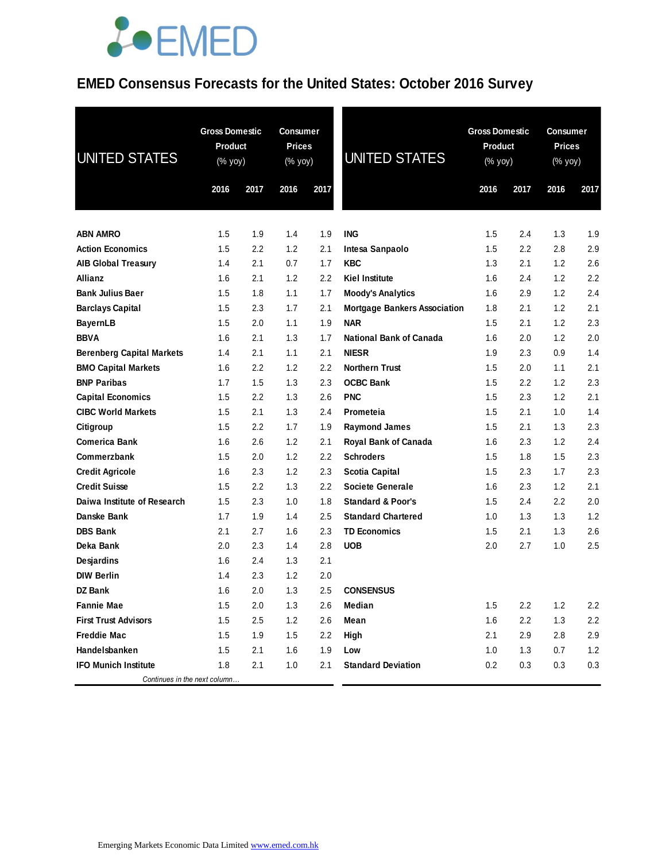### **EMED Consensus Forecasts for the United States: October 2016 Survey**

| <b>UNITED STATES</b>             | <b>Gross Domestic</b><br><b>Product</b><br>(% yoy) |      | Consumer<br><b>Prices</b><br>(% yoy) |                  | <b>UNITED STATES</b>                | <b>Gross Domestic</b><br><b>Product</b><br>(% yoy) |      | <b>Consumer</b><br><b>Prices</b><br>(% yoy) |      |
|----------------------------------|----------------------------------------------------|------|--------------------------------------|------------------|-------------------------------------|----------------------------------------------------|------|---------------------------------------------|------|
|                                  | 2016                                               | 2017 | 2016                                 | 2017             |                                     | 2016                                               | 2017 | 2016                                        | 2017 |
| <b>ABN AMRO</b>                  | 1.5                                                | 1.9  | 1.4                                  | 1.9              | <b>ING</b>                          | 1.5                                                | 2.4  | 1.3                                         | 1.9  |
| <b>Action Economics</b>          | 1.5                                                | 2.2  | 1.2                                  | 2.1              | Intesa Sanpaolo                     | 1.5                                                | 2.2  | 2.8                                         | 2.9  |
| <b>AIB Global Treasury</b>       | 1.4                                                | 2.1  | 0.7                                  | 1.7              | <b>KBC</b>                          | 1.3                                                | 2.1  | 1.2                                         | 2.6  |
| Allianz                          | 1.6                                                | 2.1  | 1.2                                  | 2.2              | <b>Kiel Institute</b>               | 1.6                                                | 2.4  | 1.2                                         | 2.2  |
| <b>Bank Julius Baer</b>          | 1.5                                                | 1.8  | 1.1                                  | 1.7              | <b>Moody's Analytics</b>            | 1.6                                                | 2.9  | 1.2                                         | 2.4  |
| <b>Barclays Capital</b>          | 1.5                                                | 2.3  | 1.7                                  | 2.1              | <b>Mortgage Bankers Association</b> | 1.8                                                | 2.1  | 1.2                                         | 2.1  |
| <b>BayernLB</b>                  | 1.5                                                | 2.0  | 1.1                                  | 1.9              | <b>NAR</b>                          | 1.5                                                | 2.1  | 1.2                                         | 2.3  |
| <b>BBVA</b>                      | 1.6                                                | 2.1  | 1.3                                  | 1.7              | <b>National Bank of Canada</b>      | 1.6                                                | 2.0  | 1.2                                         | 2.0  |
| <b>Berenberg Capital Markets</b> | 1.4                                                | 2.1  | 1.1                                  | 2.1              | <b>NIESR</b>                        | 1.9                                                | 2.3  | 0.9                                         | 1.4  |
| <b>BMO Capital Markets</b>       | 1.6                                                | 2.2  | 1.2                                  | 2.2              | <b>Northern Trust</b>               | 1.5                                                | 2.0  | 1.1                                         | 2.1  |
| <b>BNP Paribas</b>               | 1.7                                                | 1.5  | 1.3                                  | 2.3              | <b>OCBC Bank</b>                    | 1.5                                                | 2.2  | 1.2                                         | 2.3  |
| <b>Capital Economics</b>         | 1.5                                                | 2.2  | 1.3                                  | 2.6              | <b>PNC</b>                          | 1.5                                                | 2.3  | 1.2                                         | 2.1  |
| <b>CIBC World Markets</b>        | 1.5                                                | 2.1  | 1.3                                  | 2.4              | Prometeia                           | 1.5                                                | 2.1  | 1.0                                         | 1.4  |
| Citigroup                        | 1.5                                                | 2.2  | 1.7                                  | 1.9              | <b>Raymond James</b>                | 1.5                                                | 2.1  | 1.3                                         | 2.3  |
| <b>Comerica Bank</b>             | 1.6                                                | 2.6  | 1.2                                  | 2.1              | Royal Bank of Canada                | 1.6                                                | 2.3  | 1.2                                         | 2.4  |
| Commerzbank                      | 1.5                                                | 2.0  | 1.2                                  | 2.2              | <b>Schroders</b>                    | 1.5                                                | 1.8  | 1.5                                         | 2.3  |
| <b>Credit Agricole</b>           | 1.6                                                | 2.3  | 1.2                                  | 2.3              | <b>Scotia Capital</b>               | 1.5                                                | 2.3  | 1.7                                         | 2.3  |
| <b>Credit Suisse</b>             | 1.5                                                | 2.2  | 1.3                                  | 2.2              | <b>Societe Generale</b>             | 1.6                                                | 2.3  | 1.2                                         | 2.1  |
| Daiwa Institute of Research      | 1.5                                                | 2.3  | 1.0                                  | 1.8              | <b>Standard &amp; Poor's</b>        | 1.5                                                | 2.4  | 2.2                                         | 2.0  |
| Danske Bank                      | 1.7                                                | 1.9  | 1.4                                  | 2.5              | <b>Standard Chartered</b>           | 1.0                                                | 1.3  | 1.3                                         | 1.2  |
| <b>DBS Bank</b>                  | 2.1                                                | 2.7  | 1.6                                  | 2.3              | <b>TD Economics</b>                 | 1.5                                                | 2.1  | 1.3                                         | 2.6  |
| Deka Bank                        | 2.0                                                | 2.3  | 1.4                                  | 2.8              | <b>UOB</b>                          | 2.0                                                | 2.7  | 1.0                                         | 2.5  |
| Desjardins                       | 1.6                                                | 2.4  | 1.3                                  | 2.1              |                                     |                                                    |      |                                             |      |
| <b>DIW Berlin</b>                | 1.4                                                | 2.3  | 1.2                                  | 2.0              |                                     |                                                    |      |                                             |      |
| <b>DZ Bank</b>                   | 1.6                                                | 2.0  | 1.3                                  | 2.5              | <b>CONSENSUS</b>                    |                                                    |      |                                             |      |
| <b>Fannie Mae</b>                | 1.5                                                | 2.0  | 1.3                                  | 2.6              | Median                              | 1.5                                                | 2.2  | 1.2                                         | 2.2  |
| <b>First Trust Advisors</b>      | 1.5                                                | 2.5  | 1.2                                  | 2.6              | Mean                                | 1.6                                                | 2.2  | 1.3                                         | 2.2  |
| <b>Freddie Mac</b>               | 1.5                                                | 1.9  | 1.5                                  | $2.2\phantom{0}$ | High                                | 2.1                                                | 2.9  | 2.8                                         | 2.9  |
| Handelsbanken                    | 1.5                                                | 2.1  | 1.6                                  | 1.9              | Low                                 | 1.0                                                | 1.3  | 0.7                                         | 1.2  |
| <b>IFO Munich Institute</b>      | 1.8                                                | 2.1  | 1.0                                  | 2.1              | <b>Standard Deviation</b>           | 0.2                                                | 0.3  | 0.3                                         | 0.3  |
| Continues in the next column     |                                                    |      |                                      |                  |                                     |                                                    |      |                                             |      |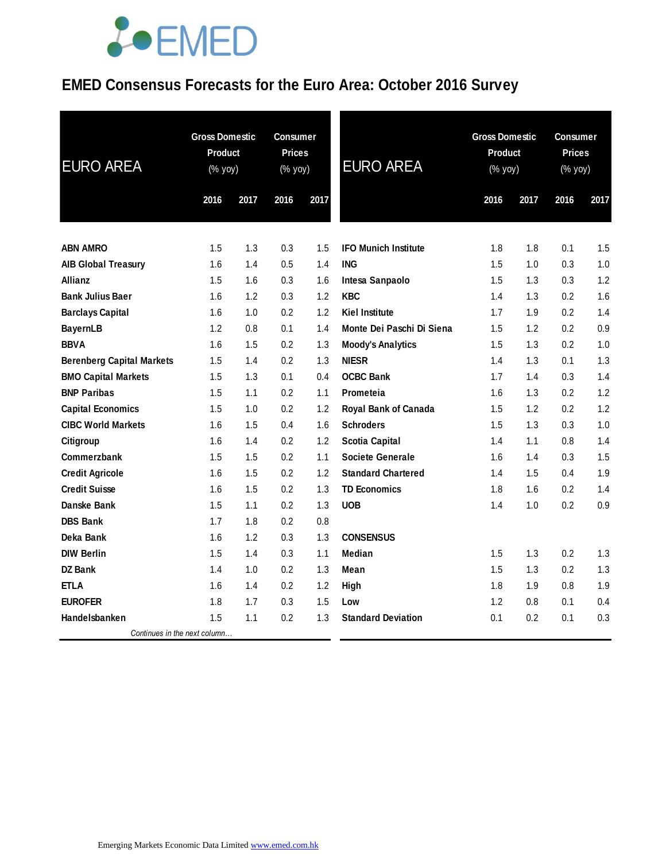### **EMED Consensus Forecasts for the Euro Area: October 2016 Survey**

| <b>EURO AREA</b>                 | <b>Gross Domestic</b><br><b>Product</b><br>$(\%$ yoy) |      | <b>Consumer</b><br><b>Prices</b><br>$(% \mathsf{Y}^{\prime }\mathsf{Y}^{\prime })$ (% $\mathsf{Y}^{\prime }\mathsf{Y}^{\prime }\mathsf{Y}^{\prime })$ |      | <b>EURO AREA</b>            | <b>Gross Domestic</b><br>Product<br>$(\%$ yoy) |      | Consumer<br><b>Prices</b><br>(% yoy) |      |
|----------------------------------|-------------------------------------------------------|------|-------------------------------------------------------------------------------------------------------------------------------------------------------|------|-----------------------------|------------------------------------------------|------|--------------------------------------|------|
|                                  | 2016                                                  | 2017 | 2016                                                                                                                                                  | 2017 |                             | 2016                                           | 2017 | 2016                                 | 2017 |
|                                  |                                                       |      |                                                                                                                                                       |      |                             |                                                |      |                                      |      |
| <b>ABN AMRO</b>                  | 1.5                                                   | 1.3  | 0.3                                                                                                                                                   | 1.5  | <b>IFO Munich Institute</b> | 1.8                                            | 1.8  | 0.1                                  | 1.5  |
| <b>AIB Global Treasury</b>       | 1.6                                                   | 1.4  | 0.5                                                                                                                                                   | 1.4  | <b>ING</b>                  | 1.5                                            | 1.0  | 0.3                                  | 1.0  |
| Allianz                          | 1.5                                                   | 1.6  | 0.3                                                                                                                                                   | 1.6  | Intesa Sanpaolo             | 1.5                                            | 1.3  | 0.3                                  | 1.2  |
| <b>Bank Julius Baer</b>          | 1.6                                                   | 1.2  | 0.3                                                                                                                                                   | 1.2  | <b>KBC</b>                  | 1.4                                            | 1.3  | 0.2                                  | 1.6  |
| <b>Barclays Capital</b>          | 1.6                                                   | 1.0  | 0.2                                                                                                                                                   | 1.2  | <b>Kiel Institute</b>       | 1.7                                            | 1.9  | 0.2                                  | 1.4  |
| <b>BayernLB</b>                  | 1.2                                                   | 0.8  | 0.1                                                                                                                                                   | 1.4  | Monte Dei Paschi Di Siena   | 1.5                                            | 1.2  | 0.2                                  | 0.9  |
| <b>BBVA</b>                      | 1.6                                                   | 1.5  | 0.2                                                                                                                                                   | 1.3  | <b>Moody's Analytics</b>    | 1.5                                            | 1.3  | 0.2                                  | 1.0  |
| <b>Berenberg Capital Markets</b> | 1.5                                                   | 1.4  | 0.2                                                                                                                                                   | 1.3  | <b>NIESR</b>                | 1.4                                            | 1.3  | 0.1                                  | 1.3  |
| <b>BMO Capital Markets</b>       | 1.5                                                   | 1.3  | 0.1                                                                                                                                                   | 0.4  | <b>OCBC Bank</b>            | 1.7                                            | 1.4  | 0.3                                  | 1.4  |
| <b>BNP Paribas</b>               | 1.5                                                   | 1.1  | 0.2                                                                                                                                                   | 1.1  | Prometeia                   | 1.6                                            | 1.3  | 0.2                                  | 1.2  |
| <b>Capital Economics</b>         | 1.5                                                   | 1.0  | 0.2                                                                                                                                                   | 1.2  | Royal Bank of Canada        | 1.5                                            | 1.2  | 0.2                                  | 1.2  |
| <b>CIBC World Markets</b>        | 1.6                                                   | 1.5  | 0.4                                                                                                                                                   | 1.6  | <b>Schroders</b>            | 1.5                                            | 1.3  | 0.3                                  | 1.0  |
| Citigroup                        | 1.6                                                   | 1.4  | 0.2                                                                                                                                                   | 1.2  | <b>Scotia Capital</b>       | 1.4                                            | 1.1  | 0.8                                  | 1.4  |
| Commerzbank                      | 1.5                                                   | 1.5  | 0.2                                                                                                                                                   | 1.1  | <b>Societe Generale</b>     | 1.6                                            | 1.4  | 0.3                                  | 1.5  |
| <b>Credit Agricole</b>           | 1.6                                                   | 1.5  | 0.2                                                                                                                                                   | 1.2  | <b>Standard Chartered</b>   | 1.4                                            | 1.5  | 0.4                                  | 1.9  |
| <b>Credit Suisse</b>             | 1.6                                                   | 1.5  | 0.2                                                                                                                                                   | 1.3  | <b>TD Economics</b>         | 1.8                                            | 1.6  | 0.2                                  | 1.4  |
| Danske Bank                      | 1.5                                                   | 1.1  | 0.2                                                                                                                                                   | 1.3  | <b>UOB</b>                  | 1.4                                            | 1.0  | 0.2                                  | 0.9  |
| <b>DBS Bank</b>                  | 1.7                                                   | 1.8  | 0.2                                                                                                                                                   | 0.8  |                             |                                                |      |                                      |      |
| Deka Bank                        | 1.6                                                   | 1.2  | 0.3                                                                                                                                                   | 1.3  | <b>CONSENSUS</b>            |                                                |      |                                      |      |
| <b>DIW Berlin</b>                | 1.5                                                   | 1.4  | 0.3                                                                                                                                                   | 1.1  | <b>Median</b>               | 1.5                                            | 1.3  | 0.2                                  | 1.3  |
| <b>DZ Bank</b>                   | 1.4                                                   | 1.0  | 0.2                                                                                                                                                   | 1.3  | Mean                        | 1.5                                            | 1.3  | 0.2                                  | 1.3  |
| <b>ETLA</b>                      | 1.6                                                   | 1.4  | 0.2                                                                                                                                                   | 1.2  | High                        | 1.8                                            | 1.9  | 0.8                                  | 1.9  |
| <b>EUROFER</b>                   | 1.8                                                   | 1.7  | 0.3                                                                                                                                                   | 1.5  | Low                         | 1.2                                            | 0.8  | 0.1                                  | 0.4  |
| Handelsbanken                    | 1.5                                                   | 1.1  | 0.2                                                                                                                                                   | 1.3  | <b>Standard Deviation</b>   | 0.1                                            | 0.2  | 0.1                                  | 0.3  |
| Continues in the next column     |                                                       |      |                                                                                                                                                       |      |                             |                                                |      |                                      |      |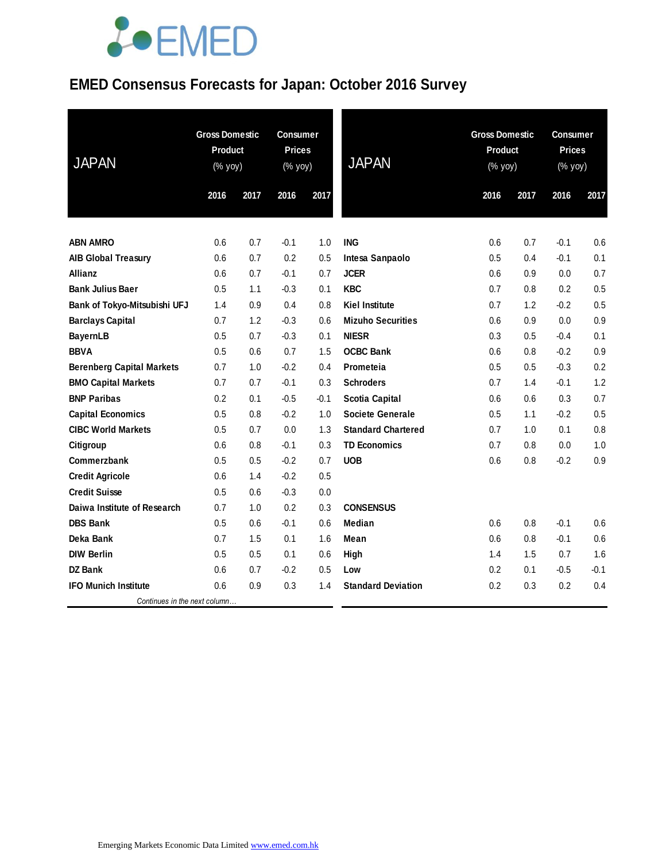### **EMED Consensus Forecasts for Japan: October 2016 Survey**

| <b>JAPAN</b>                     | <b>Gross Domestic</b><br><b>Product</b><br>$(\%$ yoy) |      | <b>Consumer</b><br><b>Prices</b><br>(% yoy) |        | <b>JAPAN</b>              | <b>Gross Domestic</b><br><b>Product</b><br>(% yoy) |      | <b>Consumer</b><br><b>Prices</b><br>(% yoy) |        |
|----------------------------------|-------------------------------------------------------|------|---------------------------------------------|--------|---------------------------|----------------------------------------------------|------|---------------------------------------------|--------|
|                                  | 2016                                                  | 2017 | 2016                                        | 2017   |                           | 2016                                               | 2017 | 2016                                        | 2017   |
|                                  |                                                       |      |                                             |        |                           |                                                    |      |                                             |        |
| <b>ABN AMRO</b>                  | 0.6                                                   | 0.7  | $-0.1$                                      | 1.0    | <b>ING</b>                | 0.6                                                | 0.7  | $-0.1$                                      | 0.6    |
| <b>AIB Global Treasury</b>       | 0.6                                                   | 0.7  | 0.2                                         | 0.5    | Intesa Sanpaolo           | 0.5                                                | 0.4  | $-0.1$                                      | 0.1    |
| Allianz                          | 0.6                                                   | 0.7  | $-0.1$                                      | 0.7    | <b>JCER</b>               | 0.6                                                | 0.9  | 0.0                                         | 0.7    |
| <b>Bank Julius Baer</b>          | 0.5                                                   | 1.1  | $-0.3$                                      | 0.1    | <b>KBC</b>                | 0.7                                                | 0.8  | 0.2                                         | 0.5    |
| Bank of Tokyo-Mitsubishi UFJ     | 1.4                                                   | 0.9  | 0.4                                         | 0.8    | <b>Kiel Institute</b>     | 0.7                                                | 1.2  | $-0.2$                                      | 0.5    |
| <b>Barclays Capital</b>          | 0.7                                                   | 1.2  | $-0.3$                                      | 0.6    | <b>Mizuho Securities</b>  | 0.6                                                | 0.9  | 0.0                                         | 0.9    |
| <b>BayernLB</b>                  | 0.5                                                   | 0.7  | $-0.3$                                      | 0.1    | <b>NIESR</b>              | 0.3                                                | 0.5  | $-0.4$                                      | 0.1    |
| <b>BBVA</b>                      | 0.5                                                   | 0.6  | 0.7                                         | 1.5    | <b>OCBC Bank</b>          | 0.6                                                | 0.8  | $-0.2$                                      | 0.9    |
| <b>Berenberg Capital Markets</b> | 0.7                                                   | 1.0  | $-0.2$                                      | 0.4    | Prometeia                 | 0.5                                                | 0.5  | $-0.3$                                      | 0.2    |
| <b>BMO Capital Markets</b>       | 0.7                                                   | 0.7  | $-0.1$                                      | 0.3    | <b>Schroders</b>          | 0.7                                                | 1.4  | $-0.1$                                      | 1.2    |
| <b>BNP Paribas</b>               | 0.2                                                   | 0.1  | $-0.5$                                      | $-0.1$ | <b>Scotia Capital</b>     | 0.6                                                | 0.6  | 0.3                                         | 0.7    |
| <b>Capital Economics</b>         | 0.5                                                   | 0.8  | $-0.2$                                      | 1.0    | <b>Societe Generale</b>   | 0.5                                                | 1.1  | $-0.2$                                      | 0.5    |
| <b>CIBC World Markets</b>        | 0.5                                                   | 0.7  | 0.0                                         | 1.3    | <b>Standard Chartered</b> | 0.7                                                | 1.0  | 0.1                                         | 0.8    |
| Citigroup                        | 0.6                                                   | 0.8  | $-0.1$                                      | 0.3    | <b>TD Economics</b>       | 0.7                                                | 0.8  | 0.0                                         | 1.0    |
| <b>Commerzbank</b>               | 0.5                                                   | 0.5  | $-0.2$                                      | 0.7    | <b>UOB</b>                | 0.6                                                | 0.8  | $-0.2$                                      | 0.9    |
| <b>Credit Agricole</b>           | 0.6                                                   | 1.4  | $-0.2$                                      | 0.5    |                           |                                                    |      |                                             |        |
| <b>Credit Suisse</b>             | 0.5                                                   | 0.6  | $-0.3$                                      | 0.0    |                           |                                                    |      |                                             |        |
| Daiwa Institute of Research      | 0.7                                                   | 1.0  | 0.2                                         | 0.3    | <b>CONSENSUS</b>          |                                                    |      |                                             |        |
| <b>DBS Bank</b>                  | 0.5                                                   | 0.6  | $-0.1$                                      | 0.6    | Median                    | 0.6                                                | 0.8  | $-0.1$                                      | 0.6    |
| Deka Bank                        | 0.7                                                   | 1.5  | 0.1                                         | 1.6    | Mean                      | 0.6                                                | 0.8  | $-0.1$                                      | 0.6    |
| <b>DIW Berlin</b>                | 0.5                                                   | 0.5  | 0.1                                         | 0.6    | High                      | 1.4                                                | 1.5  | 0.7                                         | 1.6    |
| <b>DZ Bank</b>                   | 0.6                                                   | 0.7  | $-0.2$                                      | 0.5    | Low                       | 0.2                                                | 0.1  | -0.5                                        | $-0.1$ |
| <b>IFO Munich Institute</b>      | 0.6                                                   | 0.9  | 0.3                                         | 1.4    | <b>Standard Deviation</b> | 0.2                                                | 0.3  | 0.2                                         | 0.4    |
| Continues in the next column     |                                                       |      |                                             |        |                           |                                                    |      |                                             |        |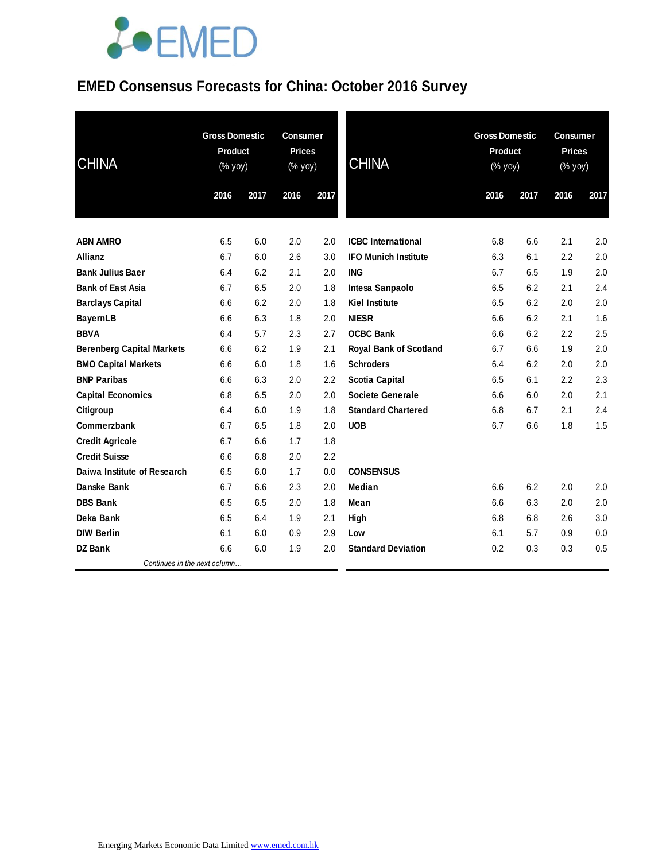#### **EMED Consensus Forecasts for China: October 2016 Survey**

| <b>CHINA</b>                     | <b>Gross Domestic</b><br><b>Product</b><br>(% yoy) |      | <b>Consumer</b><br><b>Prices</b><br>(% yoy) |      | <b>CHINA</b>                  | <b>Gross Domestic</b><br><b>Product</b><br>(% yoy) |      | <b>Consumer</b><br><b>Prices</b><br>(% yoy) |      |
|----------------------------------|----------------------------------------------------|------|---------------------------------------------|------|-------------------------------|----------------------------------------------------|------|---------------------------------------------|------|
|                                  | 2016                                               | 2017 | 2016                                        | 2017 |                               | 2016                                               | 2017 | 2016                                        | 2017 |
| <b>ABN AMRO</b>                  | 6.5                                                | 6.0  | 2.0                                         | 2.0  | <b>ICBC</b> International     | 6.8                                                | 6.6  | 2.1                                         | 2.0  |
| <b>Allianz</b>                   | 6.7                                                | 6.0  | 2.6                                         | 3.0  | <b>IFO Munich Institute</b>   | 6.3                                                | 6.1  | 2.2                                         | 2.0  |
| <b>Bank Julius Baer</b>          | 6.4                                                | 6.2  | 2.1                                         | 2.0  | <b>ING</b>                    | 6.7                                                | 6.5  | 1.9                                         | 2.0  |
| <b>Bank of East Asia</b>         | 6.7                                                | 6.5  | 2.0                                         | 1.8  | Intesa Sanpaolo               | 6.5                                                | 6.2  | 2.1                                         | 2.4  |
| <b>Barclays Capital</b>          | 6.6                                                | 6.2  | 2.0                                         | 1.8  | <b>Kiel Institute</b>         | 6.5                                                | 6.2  | 2.0                                         | 2.0  |
| <b>BayernLB</b>                  | 6.6                                                | 6.3  | 1.8                                         | 2.0  | <b>NIESR</b>                  | 6.6                                                | 6.2  | 2.1                                         | 1.6  |
| <b>BBVA</b>                      | 6.4                                                | 5.7  | 2.3                                         | 2.7  | <b>OCBC Bank</b>              | 6.6                                                | 6.2  | 2.2                                         | 2.5  |
| <b>Berenberg Capital Markets</b> | 6.6                                                | 6.2  | 1.9                                         | 2.1  | <b>Royal Bank of Scotland</b> | 6.7                                                | 6.6  | 1.9                                         | 2.0  |
| <b>BMO Capital Markets</b>       | 6.6                                                | 6.0  | 1.8                                         | 1.6  | <b>Schroders</b>              | 6.4                                                | 6.2  | 2.0                                         | 2.0  |
| <b>BNP Paribas</b>               | 6.6                                                | 6.3  | 2.0                                         | 2.2  | <b>Scotia Capital</b>         | 6.5                                                | 6.1  | 2.2                                         | 2.3  |
| <b>Capital Economics</b>         | 6.8                                                | 6.5  | 2.0                                         | 2.0  | <b>Societe Generale</b>       | 6.6                                                | 6.0  | 2.0                                         | 2.1  |
| Citigroup                        | 6.4                                                | 6.0  | 1.9                                         | 1.8  | <b>Standard Chartered</b>     | 6.8                                                | 6.7  | 2.1                                         | 2.4  |
| Commerzbank                      | 6.7                                                | 6.5  | 1.8                                         | 2.0  | <b>UOB</b>                    | 6.7                                                | 6.6  | 1.8                                         | 1.5  |
| <b>Credit Agricole</b>           | 6.7                                                | 6.6  | 1.7                                         | 1.8  |                               |                                                    |      |                                             |      |
| <b>Credit Suisse</b>             | 6.6                                                | 6.8  | 2.0                                         | 2.2  |                               |                                                    |      |                                             |      |
| Daiwa Institute of Research      | 6.5                                                | 6.0  | 1.7                                         | 0.0  | <b>CONSENSUS</b>              |                                                    |      |                                             |      |
| Danske Bank                      | 6.7                                                | 6.6  | 2.3                                         | 2.0  | <b>Median</b>                 | 6.6                                                | 6.2  | 2.0                                         | 2.0  |
| <b>DBS Bank</b>                  | 6.5                                                | 6.5  | 2.0                                         | 1.8  | Mean                          | 6.6                                                | 6.3  | 2.0                                         | 2.0  |
| Deka Bank                        | 6.5                                                | 6.4  | 1.9                                         | 2.1  | High                          | 6.8                                                | 6.8  | 2.6                                         | 3.0  |
| <b>DIW Berlin</b>                | 6.1                                                | 6.0  | 0.9                                         | 2.9  | Low                           | 6.1                                                | 5.7  | 0.9                                         | 0.0  |
| <b>DZ Bank</b>                   | 6.6                                                | 6.0  | 1.9                                         | 2.0  | <b>Standard Deviation</b>     | 0.2                                                | 0.3  | 0.3                                         | 0.5  |
| Continues in the next column     |                                                    |      |                                             |      |                               |                                                    |      |                                             |      |